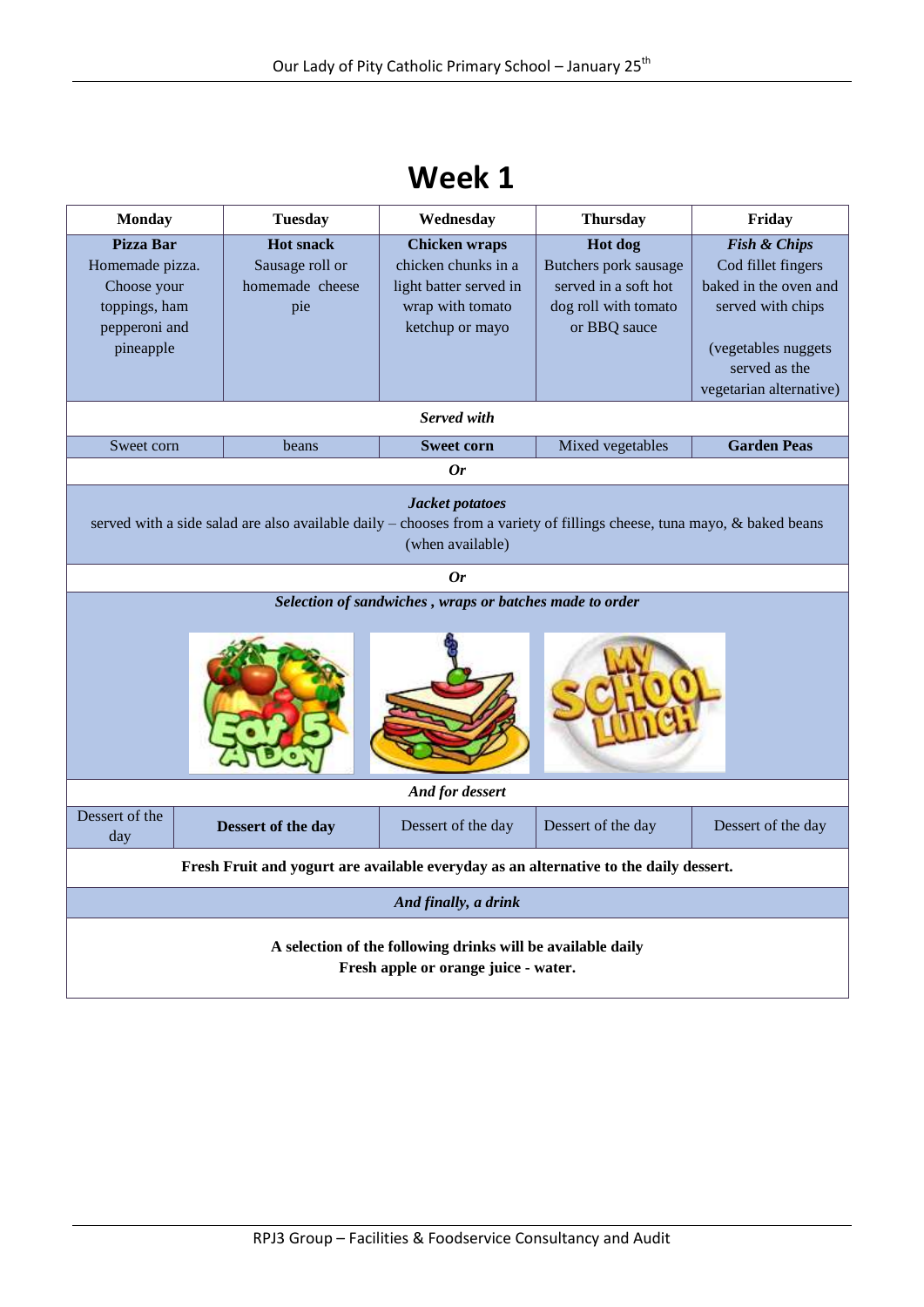| <b>Week 1</b> |  |
|---------------|--|
|               |  |

| <b>Monday</b>                                                                                                                                                  |  | <b>Tuesday</b>                                                | Wednesday                                                                                                    | <b>Thursday</b>                                                                                  | Friday                                                                                                                                                         |  |
|----------------------------------------------------------------------------------------------------------------------------------------------------------------|--|---------------------------------------------------------------|--------------------------------------------------------------------------------------------------------------|--------------------------------------------------------------------------------------------------|----------------------------------------------------------------------------------------------------------------------------------------------------------------|--|
| <b>Pizza Bar</b><br>Homemade pizza.<br>Choose your<br>toppings, ham<br>pepperoni and<br>pineapple                                                              |  | <b>Hot snack</b><br>Sausage roll or<br>homemade cheese<br>pie | <b>Chicken wraps</b><br>chicken chunks in a<br>light batter served in<br>wrap with tomato<br>ketchup or mayo | Hot dog<br>Butchers pork sausage<br>served in a soft hot<br>dog roll with tomato<br>or BBQ sauce | <b>Fish &amp; Chips</b><br>Cod fillet fingers<br>baked in the oven and<br>served with chips<br>(vegetables nuggets<br>served as the<br>vegetarian alternative) |  |
|                                                                                                                                                                |  |                                                               | Served with                                                                                                  |                                                                                                  |                                                                                                                                                                |  |
| Sweet corn                                                                                                                                                     |  | beans                                                         | <b>Sweet corn</b>                                                                                            | Mixed vegetables                                                                                 | <b>Garden Peas</b>                                                                                                                                             |  |
|                                                                                                                                                                |  |                                                               | 0r                                                                                                           |                                                                                                  |                                                                                                                                                                |  |
| Jacket potatoes<br>served with a side salad are also available daily – chooses from a variety of fillings cheese, tuna mayo, & baked beans<br>(when available) |  |                                                               |                                                                                                              |                                                                                                  |                                                                                                                                                                |  |
|                                                                                                                                                                |  |                                                               | 0r                                                                                                           |                                                                                                  |                                                                                                                                                                |  |
| Selection of sandwiches, wraps or batches made to order                                                                                                        |  |                                                               |                                                                                                              |                                                                                                  |                                                                                                                                                                |  |
| And for dessert                                                                                                                                                |  |                                                               |                                                                                                              |                                                                                                  |                                                                                                                                                                |  |
| Dessert of the<br>day                                                                                                                                          |  | Dessert of the day                                            | Dessert of the day                                                                                           | Dessert of the day                                                                               | Dessert of the day                                                                                                                                             |  |
| Fresh Fruit and yogurt are available everyday as an alternative to the daily dessert.                                                                          |  |                                                               |                                                                                                              |                                                                                                  |                                                                                                                                                                |  |
| And finally, a drink                                                                                                                                           |  |                                                               |                                                                                                              |                                                                                                  |                                                                                                                                                                |  |
| A selection of the following drinks will be available daily<br>Fresh apple or orange juice - water.                                                            |  |                                                               |                                                                                                              |                                                                                                  |                                                                                                                                                                |  |